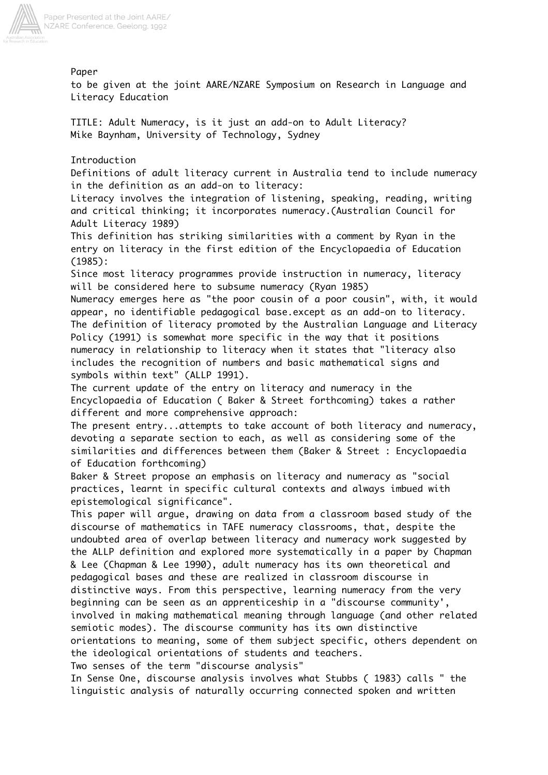

Paper

to be given at the joint AARE/NZARE Symposium on Research in Language and Literacy Education

TITLE: Adult Numeracy, is it just an add-on to Adult Literacy? Mike Baynham, University of Technology, Sydney

Introduction

Definitions of adult literacy current in Australia tend to include numeracy in the definition as an add-on to literacy:

Literacy involves the integration of listening, speaking, reading, writing and critical thinking; it incorporates numeracy.(Australian Council for Adult Literacy 1989)

This definition has striking similarities with a comment by Ryan in the entry on literacy in the first edition of the Encyclopaedia of Education (1985):

Since most literacy programmes provide instruction in numeracy, literacy will be considered here to subsume numeracy (Ryan 1985)

Numeracy emerges here as "the poor cousin of a poor cousin", with, it would appear, no identifiable pedagogical base.except as an add-on to literacy. The definition of literacy promoted by the Australian Language and Literacy Policy (1991) is somewhat more specific in the way that it positions numeracy in relationship to literacy when it states that "literacy also includes the recognition of numbers and basic mathematical signs and symbols within text" (ALLP 1991).

The current update of the entry on literacy and numeracy in the Encyclopaedia of Education ( Baker & Street forthcoming) takes a rather different and more comprehensive approach:

The present entry...attempts to take account of both literacy and numeracy, devoting a separate section to each, as well as considering some of the similarities and differences between them (Baker & Street : Encyclopaedia of Education forthcoming)

Baker & Street propose an emphasis on literacy and numeracy as "social practices, learnt in specific cultural contexts and always imbued with epistemological significance".

This paper will argue, drawing on data from a classroom based study of the discourse of mathematics in TAFE numeracy classrooms, that, despite the undoubted area of overlap between literacy and numeracy work suggested by the ALLP definition and explored more systematically in a paper by Chapman & Lee (Chapman & Lee 1990), adult numeracy has its own theoretical and pedagogical bases and these are realized in classroom discourse in distinctive ways. From this perspective, learning numeracy from the very beginning can be seen as an apprenticeship in a "discourse community', involved in making mathematical meaning through language (and other related semiotic modes). The discourse community has its own distinctive orientations to meaning, some of them subject specific, others dependent on the ideological orientations of students and teachers.

Two senses of the term "discourse analysis"

In Sense One, discourse analysis involves what Stubbs ( 1983) calls " the linguistic analysis of naturally occurring connected spoken and written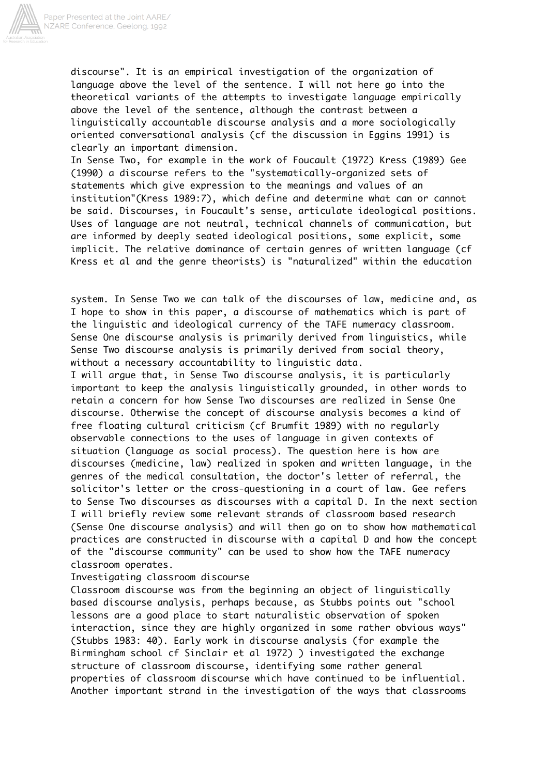

discourse". It is an empirical investigation of the organization of language above the level of the sentence. I will not here go into the theoretical variants of the attempts to investigate language empirically above the level of the sentence, although the contrast between a linguistically accountable discourse analysis and a more sociologically oriented conversational analysis (cf the discussion in Eggins 1991) is clearly an important dimension.

In Sense Two, for example in the work of Foucault (1972) Kress (1989) Gee (1990) a discourse refers to the "systematically-organized sets of statements which give expression to the meanings and values of an institution"(Kress 1989:7), which define and determine what can or cannot be said. Discourses, in Foucault's sense, articulate ideological positions. Uses of language are not neutral, technical channels of communication, but are informed by deeply seated ideological positions, some explicit, some implicit. The relative dominance of certain genres of written language (cf Kress et al and the genre theorists) is "naturalized" within the education

system. In Sense Two we can talk of the discourses of law, medicine and, as I hope to show in this paper, a discourse of mathematics which is part of the linguistic and ideological currency of the TAFE numeracy classroom. Sense One discourse analysis is primarily derived from linguistics, while Sense Two discourse analysis is primarily derived from social theory, without a necessary accountability to linguistic data.

I will argue that, in Sense Two discourse analysis, it is particularly important to keep the analysis linguistically grounded, in other words to retain a concern for how Sense Two discourses are realized in Sense One discourse. Otherwise the concept of discourse analysis becomes a kind of free floating cultural criticism (cf Brumfit 1989) with no regularly observable connections to the uses of language in given contexts of situation (language as social process). The question here is how are discourses (medicine, law) realized in spoken and written language, in the genres of the medical consultation, the doctor's letter of referral, the solicitor's letter or the cross-questioning in a court of law. Gee refers to Sense Two discourses as discourses with a capital D. In the next section I will briefly review some relevant strands of classroom based research (Sense One discourse analysis) and will then go on to show how mathematical practices are constructed in discourse with a capital D and how the concept of the "discourse community" can be used to show how the TAFE numeracy classroom operates.

## Investigating classroom discourse

Classroom discourse was from the beginning an object of linguistically based discourse analysis, perhaps because, as Stubbs points out "school lessons are a good place to start naturalistic observation of spoken interaction, since they are highly organized in some rather obvious ways" (Stubbs 1983: 40). Early work in discourse analysis (for example the Birmingham school cf Sinclair et al 1972) ) investigated the exchange structure of classroom discourse, identifying some rather general properties of classroom discourse which have continued to be influential. Another important strand in the investigation of the ways that classrooms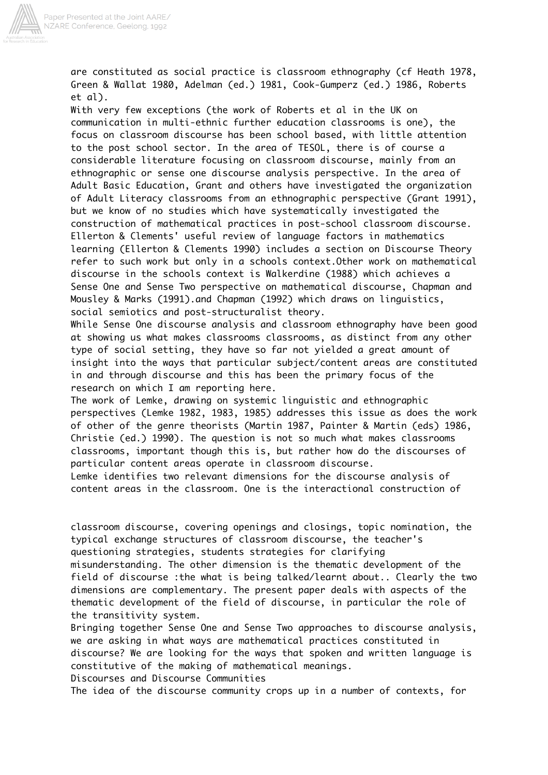

are constituted as social practice is classroom ethnography (cf Heath 1978, Green & Wallat 1980, Adelman (ed.) 1981, Cook-Gumperz (ed.) 1986, Roberts et al).

With very few exceptions (the work of Roberts et al in the UK on communication in multi-ethnic further education classrooms is one), the focus on classroom discourse has been school based, with little attention to the post school sector. In the area of TESOL, there is of course a considerable literature focusing on classroom discourse, mainly from an ethnographic or sense one discourse analysis perspective. In the area of Adult Basic Education, Grant and others have investigated the organization of Adult Literacy classrooms from an ethnographic perspective (Grant 1991), but we know of no studies which have systematically investigated the construction of mathematical practices in post-school classroom discourse. Ellerton & Clements' useful review of language factors in mathematics learning (Ellerton & Clements 1990) includes a section on Discourse Theory refer to such work but only in a schools context.Other work on mathematical discourse in the schools context is Walkerdine (1988) which achieves a Sense One and Sense Two perspective on mathematical discourse, Chapman and Mousley & Marks (1991).and Chapman (1992) which draws on linguistics, social semiotics and post-structuralist theory.

While Sense One discourse analysis and classroom ethnography have been good at showing us what makes classrooms classrooms, as distinct from any other type of social setting, they have so far not yielded a great amount of insight into the ways that particular subject/content areas are constituted in and through discourse and this has been the primary focus of the research on which I am reporting here.

The work of Lemke, drawing on systemic linguistic and ethnographic perspectives (Lemke 1982, 1983, 1985) addresses this issue as does the work of other of the genre theorists (Martin 1987, Painter & Martin (eds) 1986, Christie (ed.) 1990). The question is not so much what makes classrooms classrooms, important though this is, but rather how do the discourses of particular content areas operate in classroom discourse.

Lemke identifies two relevant dimensions for the discourse analysis of content areas in the classroom. One is the interactional construction of

classroom discourse, covering openings and closings, topic nomination, the typical exchange structures of classroom discourse, the teacher's questioning strategies, students strategies for clarifying

misunderstanding. The other dimension is the thematic development of the field of discourse :the what is being talked/learnt about.. Clearly the two dimensions are complementary. The present paper deals with aspects of the thematic development of the field of discourse, in particular the role of the transitivity system.

Bringing together Sense One and Sense Two approaches to discourse analysis, we are asking in what ways are mathematical practices constituted in discourse? We are looking for the ways that spoken and written language is constitutive of the making of mathematical meanings.

Discourses and Discourse Communities

The idea of the discourse community crops up in a number of contexts, for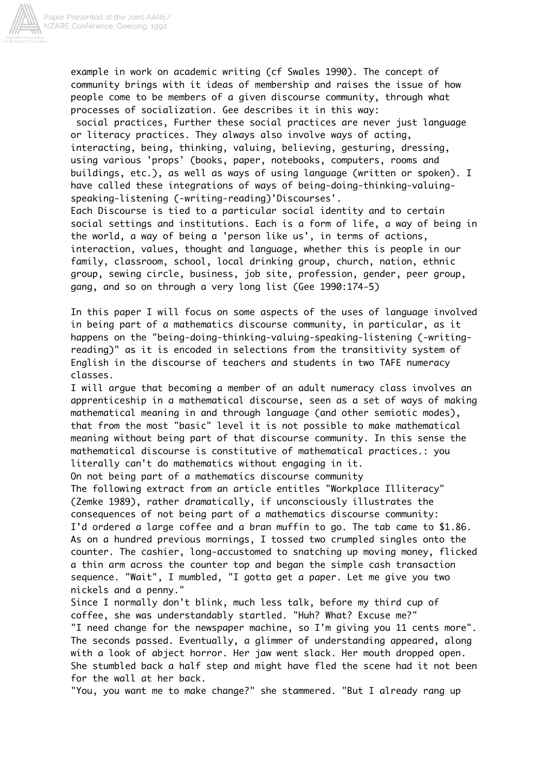

example in work on academic writing (cf Swales 1990). The concept of community brings with it ideas of membership and raises the issue of how people come to be members of a given discourse community, through what processes of socialization. Gee describes it in this way:

 social practices, Further these social practices are never just language or literacy practices. They always also involve ways of acting, interacting, being, thinking, valuing, believing, gesturing, dressing, using various 'props' (books, paper, notebooks, computers, rooms and buildings, etc.), as well as ways of using language (written or spoken). I have called these integrations of ways of being-doing-thinking-valuingspeaking-listening (-writing-reading)'Discourses'.

Each Discourse is tied to a particular social identity and to certain social settings and institutions. Each is a form of life, a way of being in the world, a way of being a 'person like us', in terms of actions, interaction, values, thought and language, whether this is people in our family, classroom, school, local drinking group, church, nation, ethnic group, sewing circle, business, job site, profession, gender, peer group, gang, and so on through a very long list (Gee 1990:174-5)

In this paper I will focus on some aspects of the uses of language involved in being part of a mathematics discourse community, in particular, as it happens on the "being-doing-thinking-valuing-speaking-listening (-writingreading)" as it is encoded in selections from the transitivity system of English in the discourse of teachers and students in two TAFE numeracy classes.

I will argue that becoming a member of an adult numeracy class involves an apprenticeship in a mathematical discourse, seen as a set of ways of making mathematical meaning in and through language (and other semiotic modes), that from the most "basic" level it is not possible to make mathematical meaning without being part of that discourse community. In this sense the mathematical discourse is constitutive of mathematical practices.: you literally can't do mathematics without engaging in it.

On not being part of a mathematics discourse community

The following extract from an article entitles "Workplace Illiteracy" (Zemke 1989), rather dramatically, if unconsciously illustrates the consequences of not being part of a mathematics discourse community: I'd ordered a large coffee and a bran muffin to go. The tab came to \$1.86. As on a hundred previous mornings, I tossed two crumpled singles onto the counter. The cashier, long-accustomed to snatching up moving money, flicked a thin arm across the counter top and began the simple cash transaction sequence. "Wait", I mumbled, "I gotta get a paper. Let me give you two nickels and a penny."

Since I normally don't blink, much less talk, before my third cup of coffee, she was understandably startled. "Huh? What? Excuse me?" "I need change for the newspaper machine, so I'm giving you 11 cents more". The seconds passed. Eventually, a glimmer of understanding appeared, along with a look of abject horror. Her jaw went slack. Her mouth dropped open. She stumbled back a half step and might have fled the scene had it not been for the wall at her back.

"You, you want me to make change?" she stammered. "But I already rang up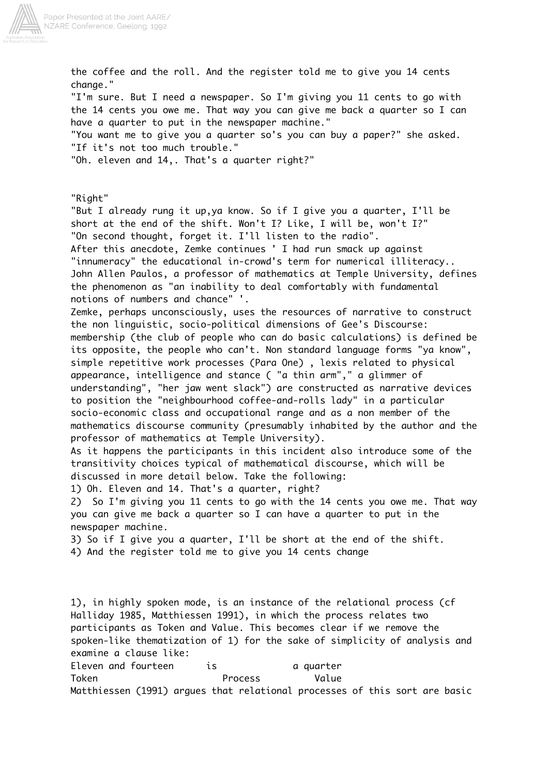

the coffee and the roll. And the register told me to give you 14 cents change." "I'm sure. But I need a newspaper. So I'm giving you 11 cents to go with the 14 cents you owe me. That way you can give me back a quarter so I can have a quarter to put in the newspaper machine." "You want me to give you a quarter so's you can buy a paper?" she asked. "If it's not too much trouble." "Oh. eleven and 14,. That's a quarter right?" "Right" "But I already rung it up,ya know. So if I give you a quarter, I'll be short at the end of the shift. Won't I? Like, I will be, won't I?" "On second thought, forget it. I'll listen to the radio". After this anecdote, Zemke continues ' I had run smack up against "innumeracy" the educational in-crowd's term for numerical illiteracy.. John Allen Paulos, a professor of mathematics at Temple University, defines the phenomenon as "an inability to deal comfortably with fundamental notions of numbers and chance" '. Zemke, perhaps unconsciously, uses the resources of narrative to construct the non linguistic, socio-political dimensions of Gee's Discourse: membership (the club of people who can do basic calculations) is defined be its opposite, the people who can't. Non standard language forms "ya know", simple repetitive work processes (Para One) , lexis related to physical appearance, intelligence and stance ( "a thin arm"," a glimmer of understanding", "her jaw went slack") are constructed as narrative devices to position the "neighbourhood coffee-and-rolls lady" in a particular socio-economic class and occupational range and as a non member of the mathematics discourse community (presumably inhabited by the author and the professor of mathematics at Temple University). As it happens the participants in this incident also introduce some of the transitivity choices typical of mathematical discourse, which will be discussed in more detail below. Take the following: 1) Oh. Eleven and 14. That's a quarter, right? 2) So I'm giving you 11 cents to go with the 14 cents you owe me. That way you can give me back a quarter so I can have a quarter to put in the newspaper machine. 3) So if I give you a quarter, I'll be short at the end of the shift. 4) And the register told me to give you 14 cents change 1), in highly spoken mode, is an instance of the relational process (cf Halliday 1985, Matthiessen 1991), in which the process relates two participants as Token and Value. This becomes clear if we remove the spoken-like thematization of 1) for the sake of simplicity of analysis and examine a clause like: Eleven and fourteen is the squarter Token **Process** Value

Matthiessen (1991) argues that relational processes of this sort are basic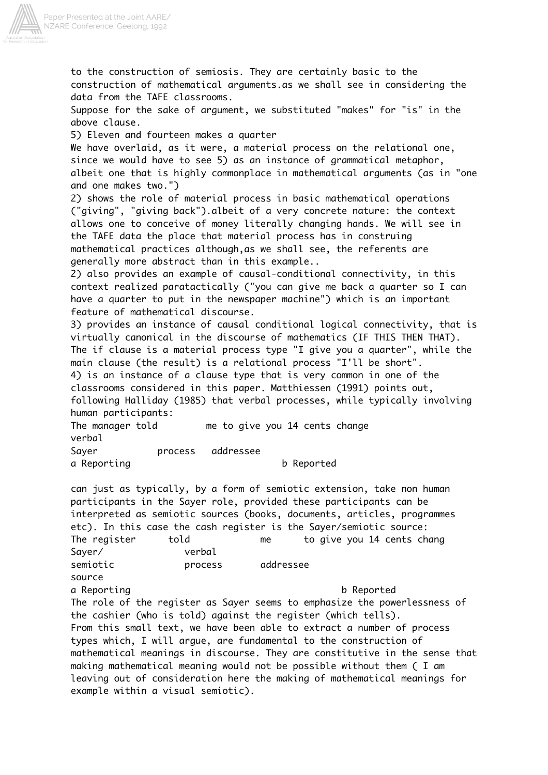

to the construction of semiosis. They are certainly basic to the construction of mathematical arguments.as we shall see in considering the data from the TAFE classrooms.

Suppose for the sake of argument, we substituted "makes" for "is" in the above clause.

5) Eleven and fourteen makes a quarter

We have overlaid, as it were, a material process on the relational one, since we would have to see 5) as an instance of grammatical metaphor, albeit one that is highly commonplace in mathematical arguments (as in "one and one makes two.")

2) shows the role of material process in basic mathematical operations ("giving", "giving back").albeit of a very concrete nature: the context allows one to conceive of money literally changing hands. We will see in the TAFE data the place that material process has in construing mathematical practices although,as we shall see, the referents are generally more abstract than in this example..

2) also provides an example of causal-conditional connectivity, in this context realized paratactically ("you can give me back a quarter so I can have a quarter to put in the newspaper machine") which is an important feature of mathematical discourse.

3) provides an instance of causal conditional logical connectivity, that is virtually canonical in the discourse of mathematics (IF THIS THEN THAT). The if clause is a material process type "I give you a quarter", while the main clause (the result) is a relational process "I'll be short". 4) is an instance of a clause type that is very common in one of the

classrooms considered in this paper. Matthiessen (1991) points out, following Halliday (1985) that verbal processes, while typically involving human participants:

The manager told me to give you 14 cents change verbal Saver **process** addressee a Reporting b Reported

can just as typically, by a form of semiotic extension, take non human participants in the Sayer role, provided these participants can be interpreted as semiotic sources (books, documents, articles, programmes etc). In this case the cash register is the Sayer/semiotic source: The register told me to give you 14 cents chang Sayer/ verbal semiotic **process** addressee source a Reporting b Reported The role of the register as Sayer seems to emphasize the powerlessness of the cashier (who is told) against the register (which tells). From this small text, we have been able to extract a number of process types which, I will argue, are fundamental to the construction of mathematical meanings in discourse. They are constitutive in the sense that making mathematical meaning would not be possible without them ( I am leaving out of consideration here the making of mathematical meanings for example within a visual semiotic).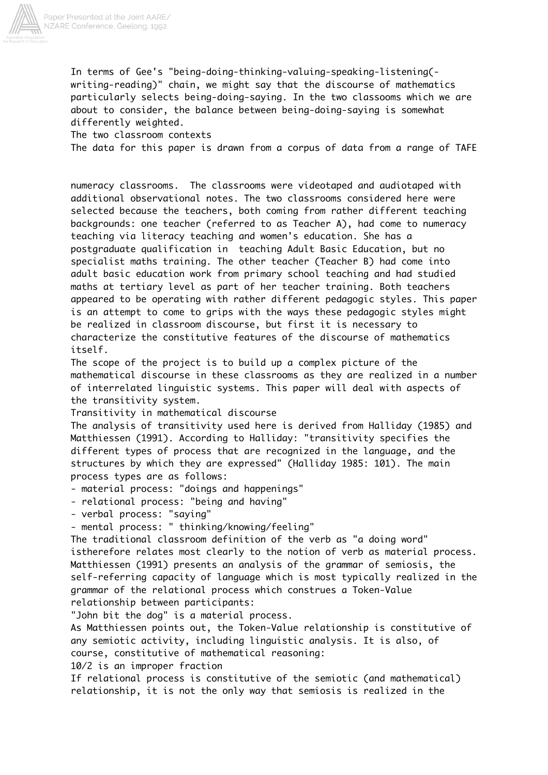

In terms of Gee's "being-doing-thinking-valuing-speaking-listening( writing-reading)" chain, we might say that the discourse of mathematics particularly selects being-doing-saying. In the two classooms which we are about to consider, the balance between being-doing-saying is somewhat differently weighted.

The two classroom contexts The data for this paper is drawn from a corpus of data from a range of TAFE

numeracy classrooms. The classrooms were videotaped and audiotaped with additional observational notes. The two classrooms considered here were selected because the teachers, both coming from rather different teaching backgrounds: one teacher (referred to as Teacher A), had come to numeracy teaching via literacy teaching and women's education. She has a postgraduate qualification in teaching Adult Basic Education, but no specialist maths training. The other teacher (Teacher B) had come into adult basic education work from primary school teaching and had studied maths at tertiary level as part of her teacher training. Both teachers appeared to be operating with rather different pedagogic styles. This paper is an attempt to come to grips with the ways these pedagogic styles might be realized in classroom discourse, but first it is necessary to characterize the constitutive features of the discourse of mathematics itself.

The scope of the project is to build up a complex picture of the mathematical discourse in these classrooms as they are realized in a number of interrelated linguistic systems. This paper will deal with aspects of the transitivity system.

Transitivity in mathematical discourse

The analysis of transitivity used here is derived from Halliday (1985) and Matthiessen (1991). According to Halliday: "transitivity specifies the different types of process that are recognized in the language, and the structures by which they are expressed" (Halliday 1985: 101). The main process types are as follows:

- material process: "doings and happenings"

- relational process: "being and having"

- verbal process: "saying"

- mental process: " thinking/knowing/feeling"

The traditional classroom definition of the verb as "a doing word" istherefore relates most clearly to the notion of verb as material process. Matthiessen (1991) presents an analysis of the grammar of semiosis, the self-referring capacity of language which is most typically realized in the grammar of the relational process which construes a Token-Value relationship between participants:

"John bit the dog" is a material process.

As Matthiessen points out, the Token-Value relationship is constitutive of any semiotic activity, including linguistic analysis. It is also, of course, constitutive of mathematical reasoning:

10/2 is an improper fraction

If relational process is constitutive of the semiotic (and mathematical) relationship, it is not the only way that semiosis is realized in the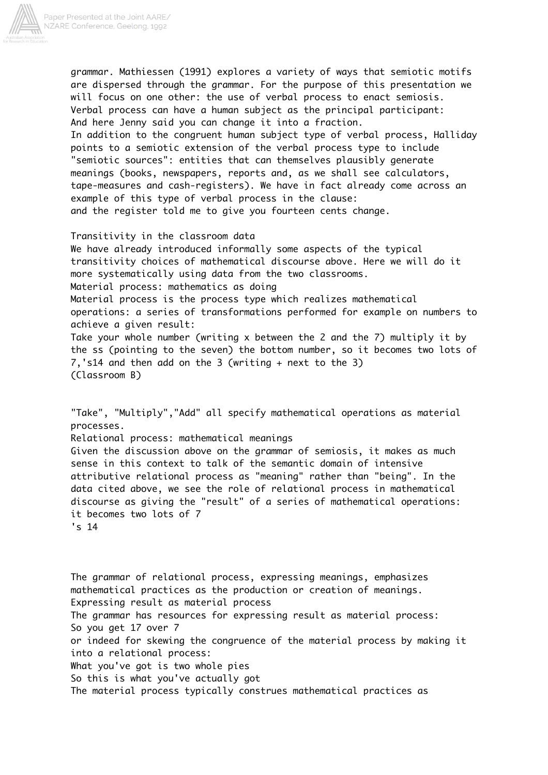

grammar. Mathiessen (1991) explores a variety of ways that semiotic motifs are dispersed through the grammar. For the purpose of this presentation we will focus on one other: the use of verbal process to enact semiosis. Verbal process can have a human subject as the principal participant: And here Jenny said you can change it into a fraction. In addition to the congruent human subject type of verbal process, Halliday points to a semiotic extension of the verbal process type to include "semiotic sources": entities that can themselves plausibly generate meanings (books, newspapers, reports and, as we shall see calculators, tape-measures and cash-registers). We have in fact already come across an example of this type of verbal process in the clause: and the register told me to give you fourteen cents change.

Transitivity in the classroom data We have already introduced informally some aspects of the typical transitivity choices of mathematical discourse above. Here we will do it more systematically using data from the two classrooms. Material process: mathematics as doing Material process is the process type which realizes mathematical operations: a series of transformations performed for example on numbers to achieve a given result: Take your whole number (writing x between the 2 and the 7) multiply it by the ss (pointing to the seven) the bottom number, so it becomes two lots of 7,'s14 and then add on the 3 (writing + next to the 3) (Classroom B)

"Take", "Multiply","Add" all specify mathematical operations as material processes. Relational process: mathematical meanings Given the discussion above on the grammar of semiosis, it makes as much sense in this context to talk of the semantic domain of intensive attributive relational process as "meaning" rather than "being". In the data cited above, we see the role of relational process in mathematical discourse as giving the "result" of a series of mathematical operations: it becomes two lots of 7 's 14

The grammar of relational process, expressing meanings, emphasizes mathematical practices as the production or creation of meanings. Expressing result as material process The grammar has resources for expressing result as material process: So you get 17 over 7 or indeed for skewing the congruence of the material process by making it into a relational process: What you've got is two whole pies So this is what you've actually got The material process typically construes mathematical practices as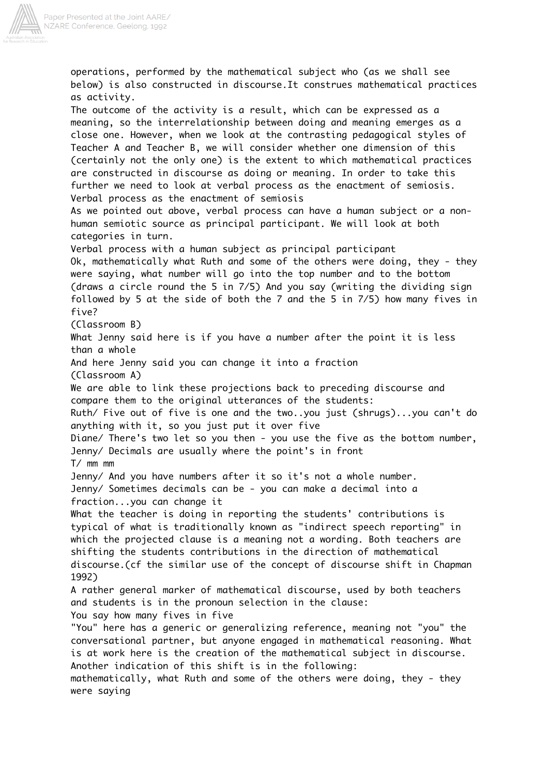

operations, performed by the mathematical subject who (as we shall see below) is also constructed in discourse.It construes mathematical practices as activity. The outcome of the activity is a result, which can be expressed as a meaning, so the interrelationship between doing and meaning emerges as a close one. However, when we look at the contrasting pedagogical styles of Teacher A and Teacher B, we will consider whether one dimension of this (certainly not the only one) is the extent to which mathematical practices are constructed in discourse as doing or meaning. In order to take this further we need to look at verbal process as the enactment of semiosis. Verbal process as the enactment of semiosis As we pointed out above, verbal process can have a human subject or a nonhuman semiotic source as principal participant. We will look at both categories in turn. Verbal process with a human subject as principal participant Ok, mathematically what Ruth and some of the others were doing, they - they were saying, what number will go into the top number and to the bottom (draws a circle round the 5 in 7/5) And you say (writing the dividing sign followed by 5 at the side of both the 7 and the 5 in 7/5) how many fives in five? (Classroom B) What Jenny said here is if you have a number after the point it is less than a whole And here Jenny said you can change it into a fraction (Classroom A) We are able to link these projections back to preceding discourse and compare them to the original utterances of the students: Ruth/ Five out of five is one and the two..you just (shrugs)...you can't do anything with it, so you just put it over five Diane/ There's two let so you then - you use the five as the bottom number, Jenny/ Decimals are usually where the point's in front T/ mm mm Jenny/ And you have numbers after it so it's not a whole number. Jenny/ Sometimes decimals can be - you can make a decimal into a fraction...you can change it What the teacher is doing in reporting the students' contributions is typical of what is traditionally known as "indirect speech reporting" in which the projected clause is a meaning not a wording. Both teachers are shifting the students contributions in the direction of mathematical discourse.(cf the similar use of the concept of discourse shift in Chapman 1992) A rather general marker of mathematical discourse, used by both teachers and students is in the pronoun selection in the clause: You say how many fives in five "You" here has a generic or generalizing reference, meaning not "you" the conversational partner, but anyone engaged in mathematical reasoning. What is at work here is the creation of the mathematical subject in discourse. Another indication of this shift is in the following: mathematically, what Ruth and some of the others were doing, they - they were saying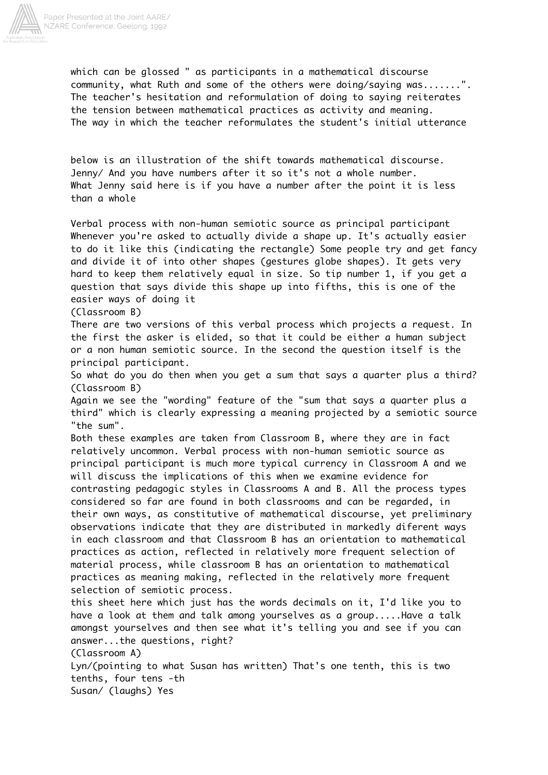

which can be glossed " as participants in a mathematical discourse community, what Ruth and some of the others were doing/saying was.......". The teacher's hesitation and reformulation of doing to saying reiterates the tension between mathematical practices as activity and meaning. The way in which the teacher reformulates the student's initial utterance

below is an illustration of the shift towards mathematical discourse. Jenny/ And you have numbers after it so it's not a whole number. What Jenny said here is if you have a number after the point it is less than a whole

Verbal process with non-human semiotic source as principal participant Whenever you're asked to actually divide a shape up. It's actually easier to do it like this (indicating the rectangle) Some people try and get fancy and divide it of into other shapes (gestures globe shapes). It gets very hard to keep them relatively equal in size. So tip number 1, if you get a question that says divide this shape up into fifths, this is one of the easier ways of doing it

(Classroom B)

There are two versions of this verbal process which projects a request. In the first the asker is elided, so that it could be either a human subject or a non human semiotic source. In the second the question itself is the principal participant.

So what do you do then when you get a sum that says a quarter plus a third? (Classroom B)

Again we see the "wording" feature of the "sum that says a quarter plus a third" which is clearly expressing a meaning projected by a semiotic source "the sum".

Both these examples are taken from Classroom B, where they are in fact relatively uncommon. Verbal process with non-human semiotic source as principal participant is much more typical currency in Classroom A and we will discuss the implications of this when we examine evidence for contrasting pedagogic styles in Classrooms A and B. All the process types considered so far are found in both classrooms and can be regarded, in their own ways, as constitutive of mathematical discourse, yet preliminary observations indicate that they are distributed in markedly diferent ways in each classroom and that Classroom B has an orientation to mathematical practices as action, reflected in relatively more frequent selection of material process, while classroom B has an orientation to mathematical practices as meaning making, reflected in the relatively more frequent selection of semiotic process.

this sheet here which just has the words decimals on it, I'd like you to have a look at them and talk among yourselves as a group.....Have a talk amongst yourselves and then see what it's telling you and see if you can answer...the questions, right?

(Classroom A)

Lyn/(pointing to what Susan has written) That's one tenth, this is two tenths, four tens -th Susan/ (laughs) Yes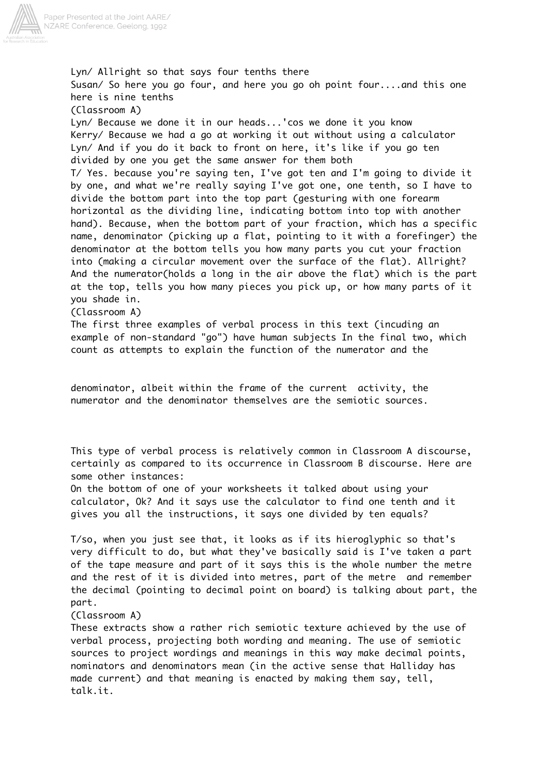

Lyn/ Allright so that says four tenths there Susan/ So here you go four, and here you go oh point four....and this one here is nine tenths (Classroom A) Lyn/ Because we done it in our heads...'cos we done it you know Kerry/ Because we had a go at working it out without using a calculator Lyn/ And if you do it back to front on here, it's like if you go ten divided by one you get the same answer for them both T/ Yes. because you're saying ten, I've got ten and I'm going to divide it by one, and what we're really saying I've got one, one tenth, so I have to divide the bottom part into the top part (gesturing with one forearm horizontal as the dividing line, indicating bottom into top with another hand). Because, when the bottom part of your fraction, which has a specific name, denominator (picking up a flat, pointing to it with a forefinger) the denominator at the bottom tells you how many parts you cut your fraction into (making a circular movement over the surface of the flat). Allright? And the numerator(holds a long in the air above the flat) which is the part at the top, tells you how many pieces you pick up, or how many parts of it you shade in. (Classroom A)

The first three examples of verbal process in this text (incuding an example of non-standard "go") have human subjects In the final two, which count as attempts to explain the function of the numerator and the

denominator, albeit within the frame of the current activity, the numerator and the denominator themselves are the semiotic sources.

This type of verbal process is relatively common in Classroom A discourse, certainly as compared to its occurrence in Classroom B discourse. Here are some other instances:

On the bottom of one of your worksheets it talked about using your calculator, Ok? And it says use the calculator to find one tenth and it gives you all the instructions, it says one divided by ten equals?

T/so, when you just see that, it looks as if its hieroglyphic so that's very difficult to do, but what they've basically said is I've taken a part of the tape measure and part of it says this is the whole number the metre and the rest of it is divided into metres, part of the metre and remember the decimal (pointing to decimal point on board) is talking about part, the part.

(Classroom A)

These extracts show a rather rich semiotic texture achieved by the use of verbal process, projecting both wording and meaning. The use of semiotic sources to project wordings and meanings in this way make decimal points, nominators and denominators mean (in the active sense that Halliday has made current) and that meaning is enacted by making them say, tell, talk.it.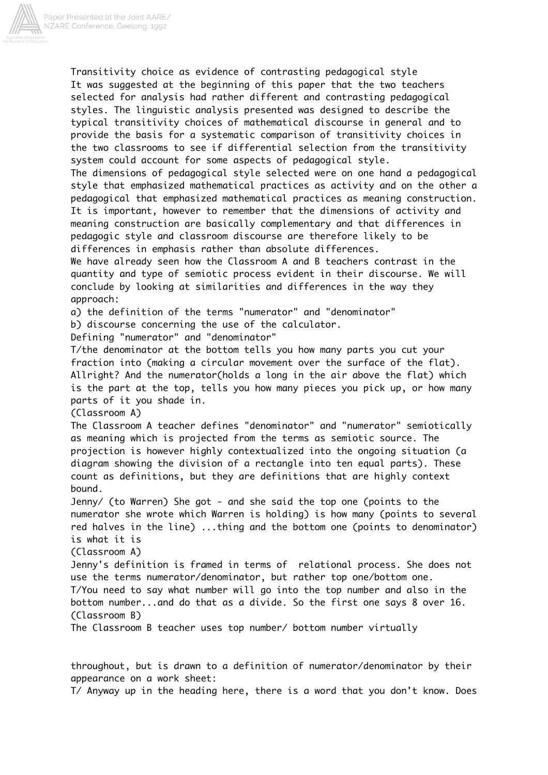

Transitivity choice as evidence of contrasting pedagogical style It was suggested at the beginning of this paper that the two teachers selected for analysis had rather different and contrasting pedagogical styles. The linguistic analysis presented was designed to describe the typical transitivity choices of mathematical discourse in general and to provide the basis for a systematic comparison of transitivity choices in the two classrooms to see if differential selection from the transitivity system could account for some aspects of pedagogical style. The dimensions of pedagogical style selected were on one hand a pedagogical style that emphasized mathematical practices as activity and on the other a pedagogical that emphasized mathematical practices as meaning construction. It is important, however to remember that the dimensions of activity and meaning construction are basically complementary and that differences in pedagogic style and classroom discourse are therefore likely to be differences in emphasis rather than absolute differences. We have already seen how the Classroom A and B teachers contrast in the quantity and type of semiotic process evident in their discourse. We will conclude by looking at similarities and differences in the way they approach: a) the definition of the terms "numerator" and "denominator" b) discourse concerning the use of the calculator. Defining "numerator" and "denominator" T/the denominator at the bottom tells you how many parts you cut your fraction into (making a circular movement over the surface of the flat). Allright? And the numerator(holds a long in the air above the flat) which is the part at the top, tells you how many pieces you pick up, or how many parts of it you shade in. (Classroom A) The Classroom A teacher defines "denominator" and "numerator" semiotically as meaning which is projected from the terms as semiotic source. The projection is however highly contextualized into the ongoing situation (a diagram showing the division of a rectangle into ten equal parts). These count as definitions, but they are definitions that are highly context bound. Jenny/ (to Warren) She got - and she said the top one (points to the numerator she wrote which Warren is holding) is how many (points to several red halves in the line) ...thing and the bottom one (points to denominator) is what it is (Classroom A) Jenny's definition is framed in terms of relational process. She does not use the terms numerator/denominator, but rather top one/bottom one. T/You need to say what number will go into the top number and also in the bottom number...and do that as a divide. So the first one says 8 over 16. (Classroom B) The Classroom B teacher uses top number/ bottom number virtually

throughout, but is drawn to a definition of numerator/denominator by their appearance on a work sheet:

T/ Anyway up in the heading here, there is a word that you don't know. Does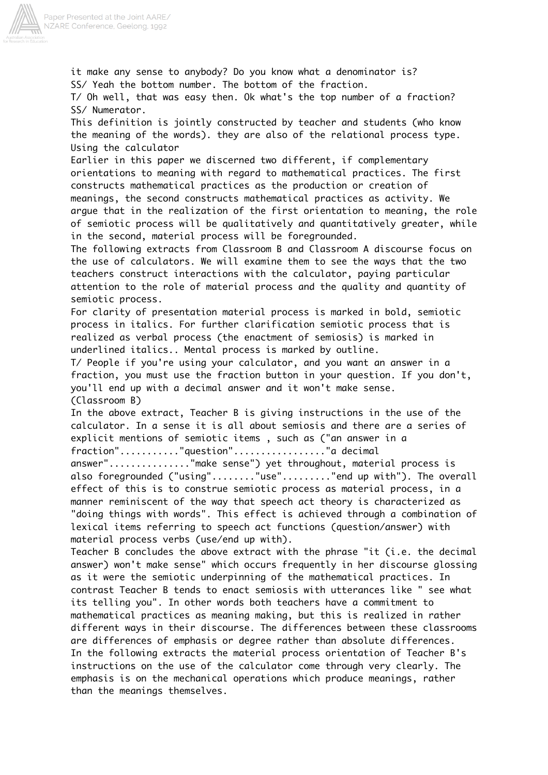

it make any sense to anybody? Do you know what a denominator is? SS/ Yeah the bottom number. The bottom of the fraction. T/ Oh well, that was easy then. Ok what's the top number of a fraction? SS/ Numerator. This definition is jointly constructed by teacher and students (who know the meaning of the words). they are also of the relational process type. Using the calculator Earlier in this paper we discerned two different, if complementary orientations to meaning with regard to mathematical practices. The first constructs mathematical practices as the production or creation of meanings, the second constructs mathematical practices as activity. We argue that in the realization of the first orientation to meaning, the role of semiotic process will be qualitatively and quantitatively greater, while in the second, material process will be foregrounded. The following extracts from Classroom B and Classroom A discourse focus on the use of calculators. We will examine them to see the ways that the two teachers construct interactions with the calculator, paying particular attention to the role of material process and the quality and quantity of semiotic process. For clarity of presentation material process is marked in bold, semiotic process in italics. For further clarification semiotic process that is realized as verbal process (the enactment of semiosis) is marked in underlined italics.. Mental process is marked by outline. T/ People if you're using your calculator, and you want an answer in a fraction, you must use the fraction button in your question. If you don't, you'll end up with a decimal answer and it won't make sense. (Classroom B) In the above extract, Teacher B is giving instructions in the use of the calculator. In a sense it is all about semiosis and there are a series of explicit mentions of semiotic items , such as ("an answer in a fraction"..........."question"................."a decimal answer"..............."make sense") yet throughout, material process is also foregrounded ("using"........"use"........."end up with"). The overall effect of this is to construe semiotic process as material process, in a manner reminiscent of the way that speech act theory is characterized as "doing things with words". This effect is achieved through a combination of lexical items referring to speech act functions (question/answer) with material process verbs (use/end up with). Teacher B concludes the above extract with the phrase "it (i.e. the decimal answer) won't make sense" which occurs frequently in her discourse glossing as it were the semiotic underpinning of the mathematical practices. In contrast Teacher B tends to enact semiosis with utterances like " see what its telling you". In other words both teachers have a commitment to mathematical practices as meaning making, but this is realized in rather different ways in their discourse. The differences between these classrooms are differences of emphasis or degree rather than absolute differences. In the following extracts the material process orientation of Teacher B's instructions on the use of the calculator come through very clearly. The emphasis is on the mechanical operations which produce meanings, rather than the meanings themselves.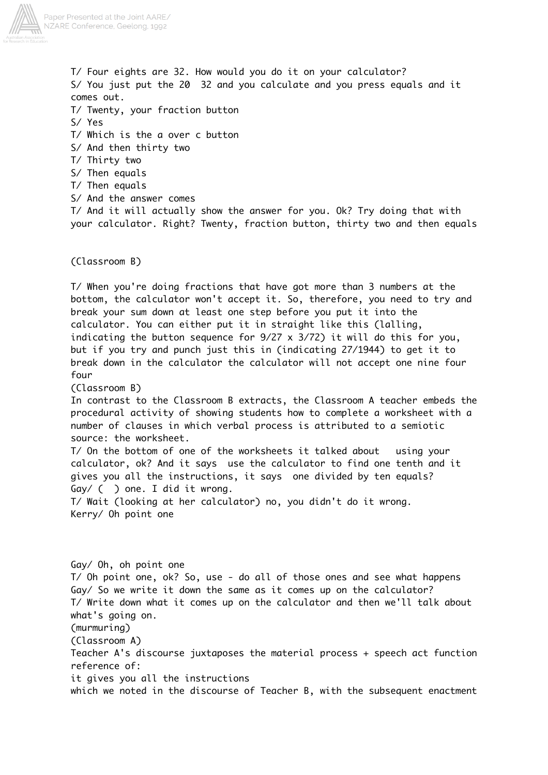

T/ Four eights are 32. How would you do it on your calculator? S/ You just put the 20 32 and you calculate and you press equals and it comes out. T/ Twenty, your fraction button S/ Yes T/ Which is the a over c button S/ And then thirty two T/ Thirty two S/ Then equals T/ Then equals S/ And the answer comes T/ And it will actually show the answer for you. Ok? Try doing that with your calculator. Right? Twenty, fraction button, thirty two and then equals

(Classroom B)

T/ When you're doing fractions that have got more than 3 numbers at the bottom, the calculator won't accept it. So, therefore, you need to try and break your sum down at least one step before you put it into the calculator. You can either put it in straight like this (lalling, indicating the button sequence for 9/27 x 3/72) it will do this for you, but if you try and punch just this in (indicating 27/1944) to get it to break down in the calculator the calculator will not accept one nine four four

(Classroom B)

In contrast to the Classroom B extracts, the Classroom A teacher embeds the procedural activity of showing students how to complete a worksheet with a number of clauses in which verbal process is attributed to a semiotic source: the worksheet.

T/ On the bottom of one of the worksheets it talked about using your calculator, ok? And it says use the calculator to find one tenth and it gives you all the instructions, it says one divided by ten equals? Gay/ ( ) one. I did it wrong.

T/ Wait (looking at her calculator) no, you didn't do it wrong. Kerry/ Oh point one

Gay/ Oh, oh point one T/ Oh point one, ok? So, use - do all of those ones and see what happens Gay/ So we write it down the same as it comes up on the calculator? T/ Write down what it comes up on the calculator and then we'll talk about what's going on. (murmuring) (Classroom A) Teacher A's discourse juxtaposes the material process + speech act function reference of: it gives you all the instructions which we noted in the discourse of Teacher B, with the subsequent enactment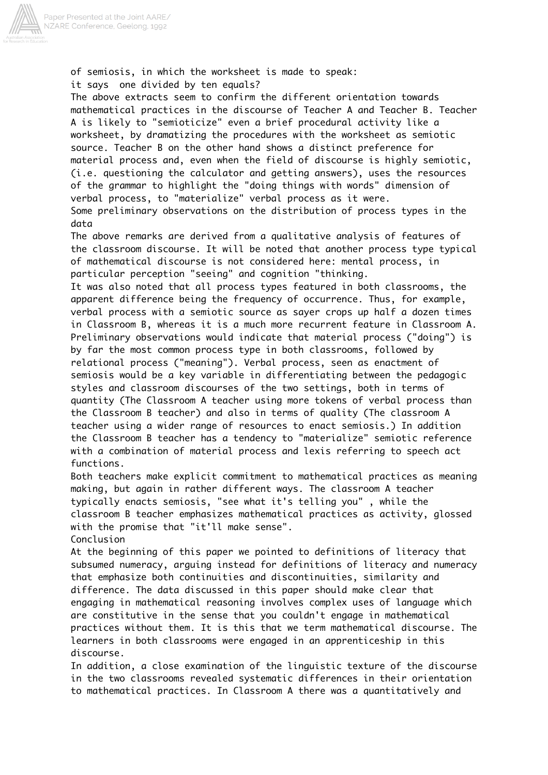

of semiosis, in which the worksheet is made to speak: it says one divided by ten equals?

The above extracts seem to confirm the different orientation towards mathematical practices in the discourse of Teacher A and Teacher B. Teacher A is likely to "semioticize" even a brief procedural activity like a worksheet, by dramatizing the procedures with the worksheet as semiotic source. Teacher B on the other hand shows a distinct preference for material process and, even when the field of discourse is highly semiotic, (i.e. questioning the calculator and getting answers), uses the resources of the grammar to highlight the "doing things with words" dimension of verbal process, to "materialize" verbal process as it were. Some preliminary observations on the distribution of process types in the data

The above remarks are derived from a qualitative analysis of features of the classroom discourse. It will be noted that another process type typical of mathematical discourse is not considered here: mental process, in particular perception "seeing" and cognition "thinking.

It was also noted that all process types featured in both classrooms, the apparent difference being the frequency of occurrence. Thus, for example, verbal process with a semiotic source as sayer crops up half a dozen times in Classroom B, whereas it is a much more recurrent feature in Classroom A. Preliminary observations would indicate that material process ("doing") is by far the most common process type in both classrooms, followed by relational process ("meaning"). Verbal process, seen as enactment of semiosis would be a key variable in differentiating between the pedagogic styles and classroom discourses of the two settings, both in terms of quantity (The Classroom A teacher using more tokens of verbal process than the Classroom B teacher) and also in terms of quality (The classroom A teacher using a wider range of resources to enact semiosis.) In addition the Classroom B teacher has a tendency to "materialize" semiotic reference with a combination of material process and lexis referring to speech act functions.

Both teachers make explicit commitment to mathematical practices as meaning making, but again in rather different ways. The classroom A teacher typically enacts semiosis, "see what it's telling you" , while the classroom B teacher emphasizes mathematical practices as activity, glossed with the promise that "it'll make sense". Conclusion

At the beginning of this paper we pointed to definitions of literacy that subsumed numeracy, arguing instead for definitions of literacy and numeracy that emphasize both continuities and discontinuities, similarity and difference. The data discussed in this paper should make clear that engaging in mathematical reasoning involves complex uses of language which are constitutive in the sense that you couldn't engage in mathematical practices without them. It is this that we term mathematical discourse. The learners in both classrooms were engaged in an apprenticeship in this discourse.

In addition, a close examination of the linguistic texture of the discourse in the two classrooms revealed systematic differences in their orientation to mathematical practices. In Classroom A there was a quantitatively and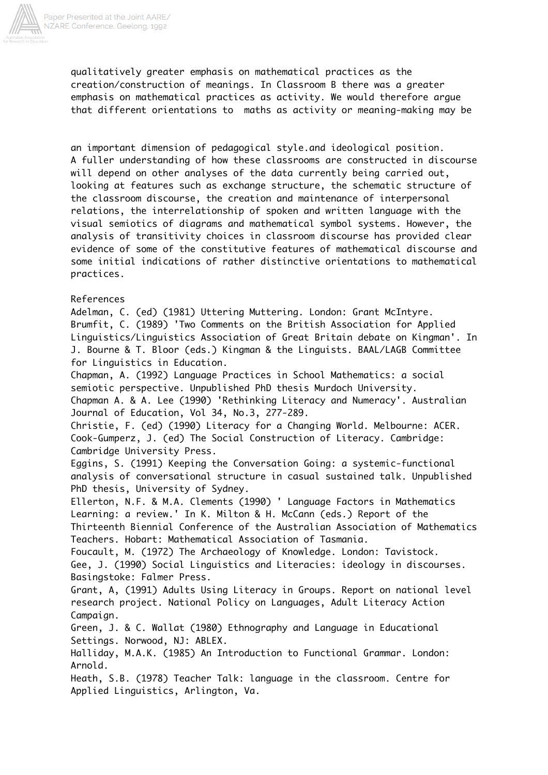

qualitatively greater emphasis on mathematical practices as the creation/construction of meanings. In Classroom B there was a greater emphasis on mathematical practices as activity. We would therefore argue that different orientations to maths as activity or meaning-making may be

an important dimension of pedagogical style.and ideological position. A fuller understanding of how these classrooms are constructed in discourse will depend on other analyses of the data currently being carried out, looking at features such as exchange structure, the schematic structure of the classroom discourse, the creation and maintenance of interpersonal relations, the interrelationship of spoken and written language with the visual semiotics of diagrams and mathematical symbol systems. However, the analysis of transitivity choices in classroom discourse has provided clear evidence of some of the constitutive features of mathematical discourse and some initial indications of rather distinctive orientations to mathematical practices.

## References

Adelman, C. (ed) (1981) Uttering Muttering. London: Grant McIntyre. Brumfit, C. (1989) 'Two Comments on the British Association for Applied Linguistics/Linguistics Association of Great Britain debate on Kingman'. In J. Bourne & T. Bloor (eds.) Kingman & the Linguists. BAAL/LAGB Committee for Linguistics in Education. Chapman, A. (1992) Language Practices in School Mathematics: a social semiotic perspective. Unpublished PhD thesis Murdoch University. Chapman A. & A. Lee (1990) 'Rethinking Literacy and Numeracy'. Australian Journal of Education, Vol 34, No.3, 277-289. Christie, F. (ed) (1990) Literacy for a Changing World. Melbourne: ACER. Cook-Gumperz, J. (ed) The Social Construction of Literacy. Cambridge: Cambridge University Press. Eggins, S. (1991) Keeping the Conversation Going: a systemic-functional analysis of conversational structure in casual sustained talk. Unpublished PhD thesis, University of Sydney. Ellerton, N.F. & M.A. Clements (1990) ' Language Factors in Mathematics Learning: a review.' In K. Milton & H. McCann (eds.) Report of the Thirteenth Biennial Conference of the Australian Association of Mathematics Teachers. Hobart: Mathematical Association of Tasmania. Foucault, M. (1972) The Archaeology of Knowledge. London: Tavistock. Gee, J. (1990) Social Linguistics and Literacies: ideology in discourses. Basingstoke: Falmer Press. Grant, A, (1991) Adults Using Literacy in Groups. Report on national level research project. National Policy on Languages, Adult Literacy Action Campaign. Green, J. & C. Wallat (1980) Ethnography and Language in Educational Settings. Norwood, NJ: ABLEX. Halliday, M.A.K. (1985) An Introduction to Functional Grammar. London: Arnold.

Heath, S.B. (1978) Teacher Talk: language in the classroom. Centre for Applied Linguistics, Arlington, Va.